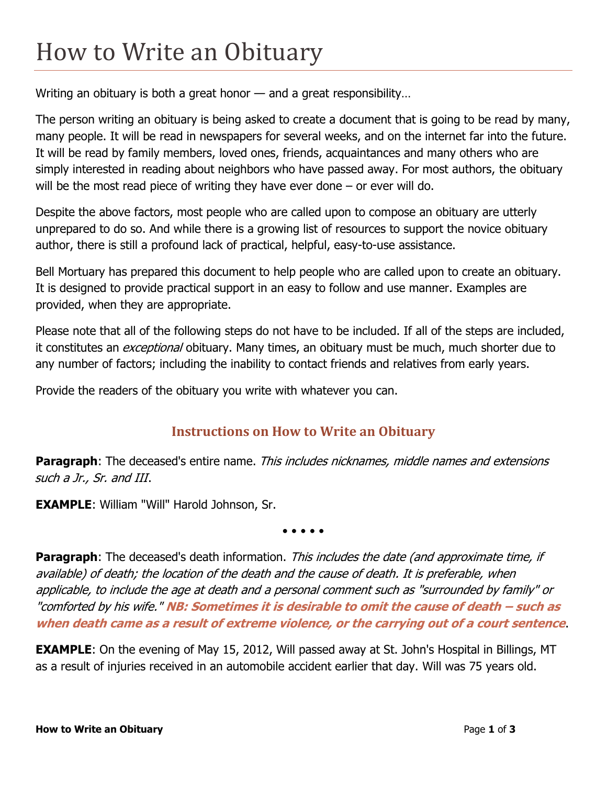## How to Write an Obituary

Writing an obituary is both a great honor — and a great responsibility…

The person writing an obituary is being asked to create a document that is going to be read by many, many people. It will be read in newspapers for several weeks, and on the internet far into the future. It will be read by family members, loved ones, friends, acquaintances and many others who are simply interested in reading about neighbors who have passed away. For most authors, the obituary will be the most read piece of writing they have ever done – or ever will do.

Despite the above factors, most people who are called upon to compose an obituary are utterly unprepared to do so. And while there is a growing list of resources to support the novice obituary author, there is still a profound lack of practical, helpful, easy-to-use assistance.

Bell Mortuary has prepared this document to help people who are called upon to create an obituary. It is designed to provide practical support in an easy to follow and use manner. Examples are provided, when they are appropriate.

Please note that all of the following steps do not have to be included. If all of the steps are included, it constitutes an *exceptional* obituary. Many times, an obituary must be much, much shorter due to any number of factors; including the inability to contact friends and relatives from early years.

Provide the readers of the obituary you write with whatever you can.

## **Instructions on How to Write an Obituary**

Paragraph: The deceased's entire name. This includes nicknames, middle names and extensions such a Jr., Sr. and III.

**EXAMPLE**: William "Will" Harold Johnson, Sr.

• • • • •

**Paragraph**: The deceased's death information. This includes the date (and approximate time, if available) of death; the location of the death and the cause of death. It is preferable, when applicable, to include the age at death and a personal comment such as "surrounded by family" or "comforted by his wife." **NB: Sometimes it is desirable to omit the cause of death – such as when death came as a result of extreme violence, or the carrying out of a court sentence**.

**EXAMPLE**: On the evening of May 15, 2012, Will passed away at St. John's Hospital in Billings, MT as a result of injuries received in an automobile accident earlier that day. Will was 75 years old.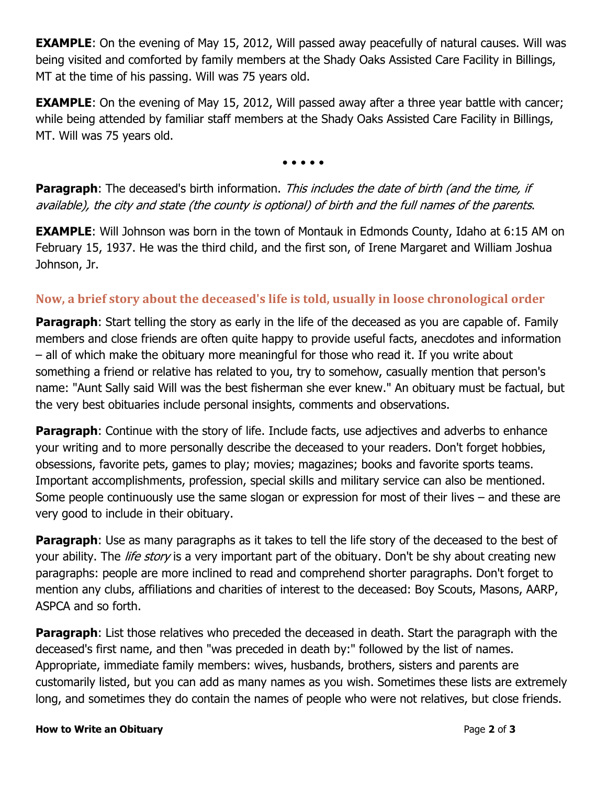**EXAMPLE**: On the evening of May 15, 2012, Will passed away peacefully of natural causes. Will was being visited and comforted by family members at the Shady Oaks Assisted Care Facility in Billings, MT at the time of his passing. Will was 75 years old.

**EXAMPLE**: On the evening of May 15, 2012, Will passed away after a three year battle with cancer; while being attended by familiar staff members at the Shady Oaks Assisted Care Facility in Billings, MT. Will was 75 years old.

• • • • •

**Paragraph**: The deceased's birth information. This includes the date of birth (and the time, if available), the city and state (the county is optional) of birth and the full names of the parents.

**EXAMPLE:** Will Johnson was born in the town of Montauk in Edmonds County, Idaho at 6:15 AM on February 15, 1937. He was the third child, and the first son, of Irene Margaret and William Joshua Johnson, Jr.

## **Now, a brief story about the deceased's life is told, usually in loose chronological order**

**Paragraph**: Start telling the story as early in the life of the deceased as you are capable of. Family members and close friends are often quite happy to provide useful facts, anecdotes and information – all of which make the obituary more meaningful for those who read it. If you write about something a friend or relative has related to you, try to somehow, casually mention that person's name: "Aunt Sally said Will was the best fisherman she ever knew." An obituary must be factual, but the very best obituaries include personal insights, comments and observations.

**Paragraph:** Continue with the story of life. Include facts, use adjectives and adverbs to enhance your writing and to more personally describe the deceased to your readers. Don't forget hobbies, obsessions, favorite pets, games to play; movies; magazines; books and favorite sports teams. Important accomplishments, profession, special skills and military service can also be mentioned. Some people continuously use the same slogan or expression for most of their lives – and these are very good to include in their obituary.

**Paragraph**: Use as many paragraphs as it takes to tell the life story of the deceased to the best of your ability. The *life story* is a very important part of the obituary. Don't be shy about creating new paragraphs: people are more inclined to read and comprehend shorter paragraphs. Don't forget to mention any clubs, affiliations and charities of interest to the deceased: Boy Scouts, Masons, AARP, ASPCA and so forth.

**Paragraph:** List those relatives who preceded the deceased in death. Start the paragraph with the deceased's first name, and then "was preceded in death by:" followed by the list of names. Appropriate, immediate family members: wives, husbands, brothers, sisters and parents are customarily listed, but you can add as many names as you wish. Sometimes these lists are extremely long, and sometimes they do contain the names of people who were not relatives, but close friends.

## **How to Write an Obituary Page 2** of **3**